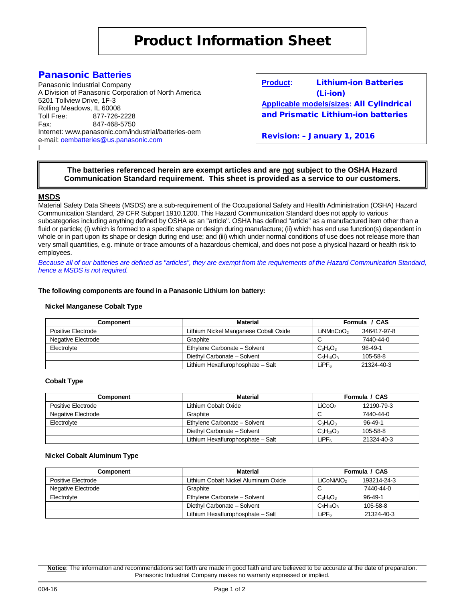# Panasonic **Batteries**

Panasonic Industrial Company A Division of Panasonic Corporation of North America 5201 Tollview Drive, 1F-3 Rolling Meadows, IL 60008<br>Toll Free: 877-726-877-726-2228 Fax: 847-468-5750 Internet: www.panasonic.com/industrial/batteries-oem e-mail: [oembatteries@us.panasonic.com](mailto:oembatteries@panasonic.com) I

**Product:** Lithium-ion Batteries (Li-ion) **Applicable models/sizes:** All Cylindrical and Prismatic Lithium-ion batteries

Revision: – January 1, 2016

## **The batteries referenced herein are exempt articles and are not subject to the OSHA Hazard Communication Standard requirement. This sheet is provided as a service to our customers.**

## **MSDS**

Material Safety Data Sheets (MSDS) are a sub-requirement of the Occupational Safety and Health Administration (OSHA) Hazard Communication Standard, 29 CFR Subpart 1910.1200. This Hazard Communication Standard does not apply to various subcategories including anything defined by OSHA as an "article". OSHA has defined "article" as a manufactured item other than a fluid or particle; (i) which is formed to a specific shape or design during manufacture; (ii) which has end use function(s) dependent in whole or in part upon its shape or design during end use; and (iii) which under normal conditions of use does not release more than very small quantities, e.g. minute or trace amounts of a hazardous chemical, and does not pose a physical hazard or health risk to employees.

*Because all of our batteries are defined as "articles", they are exempt from the requirements of the Hazard Communication Standard, hence a MSDS is not required.*

#### **The following components are found in a Panasonic Lithium Ion battery:**

#### **Nickel Manganese Cobalt Type**

| Component          | <b>Material</b>                       | Formula / CAS         |               |
|--------------------|---------------------------------------|-----------------------|---------------|
| Positive Electrode | Lithium Nickel Manganese Cobalt Oxide | LiNMnCoO <sub>2</sub> | 346417-97-8   |
| Negative Electrode | Graphite                              |                       | 7440-44-0     |
| Electrolyte        | Ethylene Carbonate - Solvent          | $C_3H_4O_3$           | $96 - 49 - 1$ |
|                    | Diethyl Carbonate - Solvent           | $C_5H_{10}O_3$        | 105-58-8      |
|                    | Lithium Hexaflurophosphate - Salt     | LiPF <sub>ه</sub>     | 21324-40-3    |

#### **Cobalt Type**

| Component          | <b>Material</b>                   | Formula / CAS      |               |
|--------------------|-----------------------------------|--------------------|---------------|
| Positive Electrode | Lithium Cobalt Oxide              | LiCoO <sub>2</sub> | 12190-79-3    |
| Negative Electrode | Graphite                          |                    | 7440-44-0     |
| Electrolyte        | Ethylene Carbonate - Solvent      | $C_3H_4O_3$        | $96 - 49 - 1$ |
|                    | Diethyl Carbonate - Solvent       | $C_5H_{10}O_3$     | 105-58-8      |
|                    | Lithium Hexaflurophosphate - Salt | LiPFء              | 21324-40-3    |

#### **Nickel Cobalt Aluminum Type**

| <b>Component</b>   | <b>Material</b>                      | Formula / CAS          |               |
|--------------------|--------------------------------------|------------------------|---------------|
| Positive Electrode | Lithium Cobalt Nickel Aluminum Oxide | LiCoNiAIO <sub>2</sub> | 193214-24-3   |
| Negative Electrode | Graphite                             | ◡                      | 7440-44-0     |
| Electrolyte        | Ethylene Carbonate - Solvent         | $C_3H_4O_3$            | $96 - 49 - 1$ |
|                    | Diethyl Carbonate - Solvent          | $C_5H_{10}O_3$         | 105-58-8      |
|                    | Lithium Hexaflurophosphate - Salt    | LiPFء                  | 21324-40-3    |

**Notice**: The information and recommendations set forth are made in good faith and are believed to be accurate at the date of preparation. Panasonic Industrial Company makes no warranty expressed or implied.